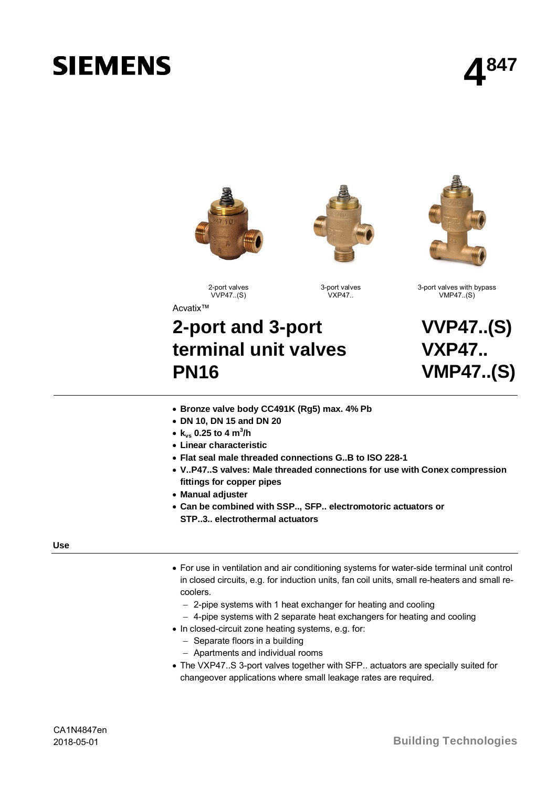# **SIEMENS**

**4 847**







3-port valves with bypass VMP47..(S)

2-port valves VVP47..(S) Acvatix™

3-port valves  $VY$ P $47$ .

## **2-port and 3-port terminal unit valves PN16**

**VVP47..(S) VXP47.. VMP47..(S)**

- ∂ **Bronze valve body CC491K (Rg5) max. 4% Pb**
- ∂ **DN 10, DN 15 and DN 20**
- ∂ **kvs 0.25 to 4 m<sup>3</sup> /h**
- ∂ **Linear characteristic**
- ∂ **Flat seal male threaded connections G..B to ISO 228-1**
- ∂ **V..P47..S valves: Male threaded connections for use with Conex compression fittings for copper pipes**
- ∂ **Manual adjuster**
- ∂ **Can be combined with SSP.., SFP.. electromotoric actuators or**
	- **STP..3.. electrothermal actuators**

#### **Use**

- ∂ For use in ventilation and air conditioning systems for water-side terminal unit control in closed circuits, e.g. for induction units, fan coil units, small re-heaters and small recoolers.
	- 2-pipe systems with 1 heat exchanger for heating and cooling
	- $-$  4-pipe systems with 2 separate heat exchangers for heating and cooling
- ∂ In closed-circuit zone heating systems, e.g. for:
	- $-$  Separate floors in a building
	- Apartments and individual rooms
- ∂ The VXP47..S 3-port valves together with SFP.. actuators are specially suited for changeover applications where small leakage rates are required.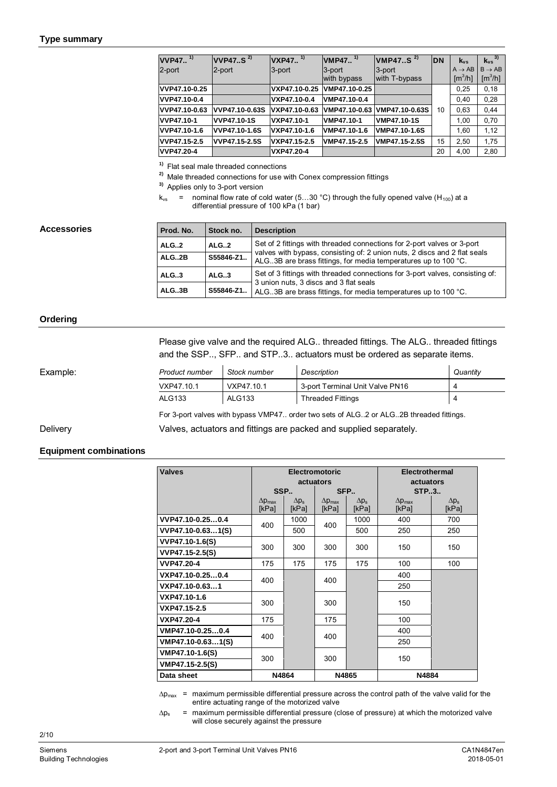| $VVP47$ <sup>1)</sup> | VVP47 $S2$         | $VXP47.$ <sup>1)</sup> | $VMP47.$ <sup>1)</sup> | VMP47S <sup>2</sup> | <b>DN</b> | $k_{vs}$               | $k_{vs}$ <sup>3)</sup>   |
|-----------------------|--------------------|------------------------|------------------------|---------------------|-----------|------------------------|--------------------------|
| 2-port                | 2-port             | 3-port                 | 3-port                 | 3-port              |           | $A \rightarrow AB$     | $B \rightarrow AB$       |
|                       |                    |                        | with bypass            | with T-bypass       |           | $\text{[m}^3/\text{h}$ | $\text{[m}^3/\text{h}$ ] |
| VVP47.10-0.25         |                    | VXP47.10-0.25          | VMP47.10-0.25          |                     |           | 0.25                   | 0,18                     |
| VVP47.10-0.4          |                    | VXP47.10-0.4           | VMP47.10-0.4           |                     |           | 0.40                   | 0,28                     |
| VVP47.10-0.63         | VVP47.10-0.63S     | VXP47.10-0.63          | VMP47.10-0.63          | VMP47.10-0.63S      | 10        | 0,63                   | 0.44                     |
| VVP47.10-1            | <b>VVP47.10-1S</b> | VXP47.10-1             | VMP47.10-1             | <b>VMP47.10-1S</b>  |           | 1.00                   | 0,70                     |
| VVP47.10-1.6          | VVP47.10-1.6S      | VXP47.10-1.6           | VMP47.10-1.6           | VMP47.10-1.6S       |           | 1.60                   | 1,12                     |
| VVP47.15-2.5          | VVP47.15-2.5S      | VXP47.15-2.5           | VMP47.15-2.5           | VMP47.15-2.5S       | 15        | 2.50                   | 1,75                     |
| VVP47.20-4            |                    | VXP47.20-4             |                        |                     | 20        | 4,00                   | 2,80                     |

**1)** Flat seal male threaded connections

**2)** Male threaded connections for use with Conex compression fittings

**3)** Applies only to 3-port version

 $k_{vs}$  = nominal flow rate of cold water (5...30 °C) through the fully opened valve (H<sub>100</sub>) at a differential pressure of 100 kPa (1 bar)

#### **Accessories**

| Prod. No.           | Stock no. | <b>Description</b>                                                                                                                            |  |  |  |  |
|---------------------|-----------|-----------------------------------------------------------------------------------------------------------------------------------------------|--|--|--|--|
| ALG2                | ALG.2     | Set of 2 fittings with threaded connections for 2-port valves or 3-port                                                                       |  |  |  |  |
| ALG2B               | S55846-Z1 | valves with bypass, consisting of: 2 union nuts, 2 discs and 2 flat seals<br>ALG. 3B are brass fittings, for media temperatures up to 100 °C. |  |  |  |  |
| ALG.3               | ALG.3     | Set of 3 fittings with threaded connections for 3-port valves, consisting of:                                                                 |  |  |  |  |
| S55846-Z1.<br>ALG3B |           | 3 union nuts, 3 discs and 3 flat seals<br>ALG. 3B are brass fittings, for media temperatures up to 100 °C.                                    |  |  |  |  |

#### **Ordering**

Please give valve and the required ALG.. threaded fittings. The ALG.. threaded fittings and the SSP.., SFP.. and STP..3.. actuators must be ordered as separate items.

Delivery

| Example: | Product number | Stock number  | Description                     | Quantity |
|----------|----------------|---------------|---------------------------------|----------|
|          | VXP47.10.1     | VXP47.10.1    | 3-port Terminal Unit Valve PN16 |          |
|          | <b>ALG133</b>  | <b>ALG133</b> | <b>Threaded Fittings</b>        |          |

For 3-port valves with bypass VMP47.. order two sets of ALG..2 or ALG..2B threaded fittings.

Valves, actuators and fittings are packed and supplied separately.

#### <span id="page-1-0"></span>**Equipment combinations**

| <b>Valves</b>     |                                  | <b>Electromotoric</b> | actuators                        |                       | <b>Electrothermal</b><br>actuators |                       |  |
|-------------------|----------------------------------|-----------------------|----------------------------------|-----------------------|------------------------------------|-----------------------|--|
|                   |                                  | SSP                   |                                  | SFP                   | <b>STP.3</b>                       |                       |  |
|                   | $\Delta p_{\text{max}}$<br>[kPa] | $\Delta p_s$<br>[kPa] | $\Delta p_{\text{max}}$<br>[kPa] | $\Delta p_s$<br>[kPa] | $\Delta p_{\text{max}}$<br>[kPa]   | $\Delta p_s$<br>[kPa] |  |
| VVP47.10-0.250.4  | 400                              | 1000                  | 400                              | 1000                  | 400                                | 700                   |  |
| VVP47.10-0.631(S) |                                  | 500                   |                                  | 500                   | 250                                | 250                   |  |
| VVP47.10-1.6(S)   | 300                              | 300                   | 300                              | 300                   | 150                                | 150                   |  |
| VVP47.15-2.5(S)   |                                  |                       |                                  |                       |                                    |                       |  |
| <b>VVP47.20-4</b> | 175                              | 175                   | 175                              | 175                   | 100                                | 100                   |  |
| VXP47.10-0.250.4  |                                  | 400                   | 400                              |                       | 400                                |                       |  |
| VXP47.10-0.631    |                                  |                       |                                  |                       | 250                                |                       |  |
| VXP47.10-1.6      | 300                              |                       | 300                              |                       | 150                                |                       |  |
| VXP47.15-2.5      |                                  |                       |                                  |                       |                                    |                       |  |
| VXP47.20-4        | 175                              |                       | 175                              |                       | 100                                |                       |  |
| VMP47.10-0.250.4  | 400                              |                       | 400                              |                       | 400                                |                       |  |
| VMP47.10-0.631(S) |                                  |                       |                                  |                       | 250                                |                       |  |
| VMP47.10-1.6(S)   | 300                              |                       | 300                              |                       | 150                                |                       |  |
| VMP47.15-2.5(S)   |                                  |                       |                                  |                       |                                    |                       |  |
| Data sheet        |                                  | N4864                 |                                  | N4865                 | N4884                              |                       |  |

 $\Delta p_{\text{max}}$  = maximum permissible differential pressure across the control path of the valve valid for the entire actuating range of the motorized valve

 $\Delta p_s$  = maximum permissible differential pressure (close of pressure) at which the motorized valve will close securely against the pressure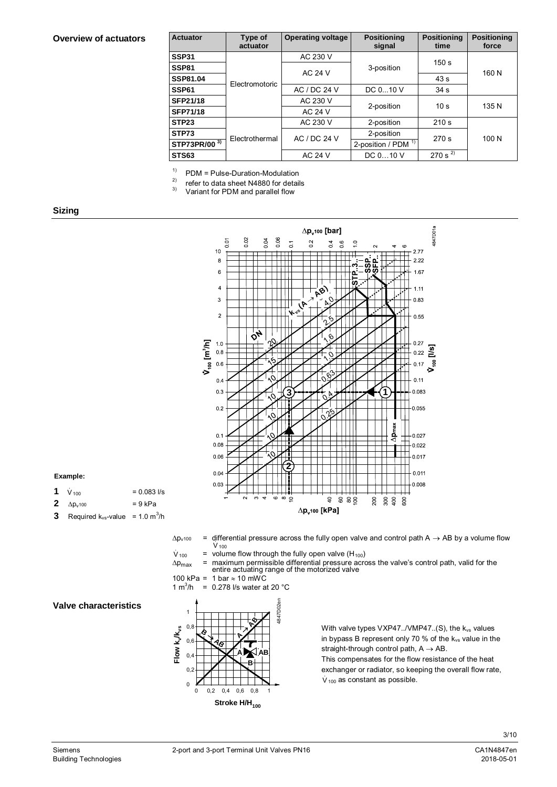#### **Overview of actuators**

| <b>Actuator</b> | Type of<br>actuator | <b>Operating voltage</b> | <b>Positioning</b><br>signal   | <b>Positioning</b><br>time | <b>Positioning</b><br>force |  |
|-----------------|---------------------|--------------------------|--------------------------------|----------------------------|-----------------------------|--|
| SSP31           |                     | AC 230 V                 |                                | 150 <sub>s</sub>           |                             |  |
| SSP81           |                     | <b>AC 24 V</b>           | 3-position                     |                            | 160 N                       |  |
| SSP81.04        | Electromotoric      |                          |                                | 43s                        |                             |  |
| SSP61           |                     | AC / DC 24 V             | DC 010 V                       | 34 <sub>s</sub>            |                             |  |
| SFP21/18        |                     | AC 230 V                 | 2-position                     | 10 <sub>s</sub>            | 135 N                       |  |
| <b>SFP71/18</b> |                     | <b>AC 24 V</b>           |                                |                            |                             |  |
| STP23           |                     | AC 230 V                 | 2-position                     | 210 s                      |                             |  |
| STP73           | Electrothermal      | AC / DC 24 V             | 2-position                     | 270 s                      | 100 N                       |  |
| STP73PR/00 3)   |                     |                          | 2-position / PDM <sup>1)</sup> |                            |                             |  |
| STS63           |                     | <b>AC 24 V</b>           | DC 010 V                       | 270 s $^{27}$              |                             |  |

<sup>1)</sup> PDM = Pulse-Duration-Modulation<br><sup>2)</sup> refer to data sheet N4880 for detail

<sup>2)</sup> refer to data sheet N4880 for details<br><sup>3)</sup> Variant for PDM and parallel flow

Variant for PDM and parallel flow

#### **Sizing**



#### **Example:**

- **1**  $V_{100}$  = 0.083 l/s
- **2**  $\Delta p_v 100$  = 9 kPa
- **3** Required  $k_{vs}$ -value = 1.0  $m^3/h$

 $\Delta p_{\rm v100}$  = differential pressure across the fully open valve and control path A  $\rightarrow$  AB by a volume flow  $V_{100}$ 

 $\dot{V}_{100}$  = volume flow through the fully open valve (H<sub>100</sub>)

 $\Delta p_{\text{max}}$  = maximum permissible differential pressure across the valve's control path, valid for the motorized valve

100 kPa = 1 bar ≈ 10 mWC<br>1 m<sup>3</sup>/h = 0 278 l/s water a 1  $m^3/h$ 0.278 l/s water at 20 °C

#### **Valve characteristics**



With valve types VXP47../VMP47..(S), the  $k_{vs}$  values in bypass B represent only 70 % of the  $k_{vs}$  value in the straight-through control path,  $A \rightarrow AB$ . This compensates for the flow resistance of the heat exchanger or radiator, so keeping the overall flow rate,  $V_{100}$  as constant as possible.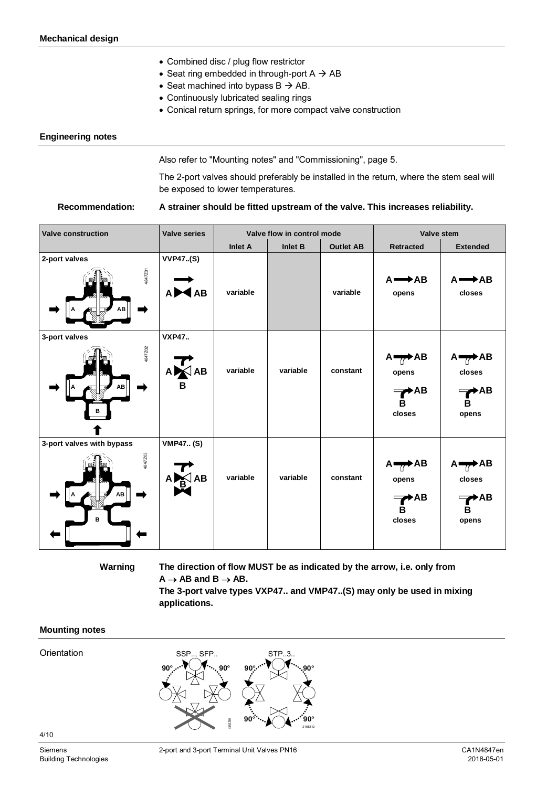- ∂ Combined disc / plug flow restrictor
- Seat ring embedded in through-port  $A \rightarrow AB$
- Seat machined into bypass  $B \rightarrow AB$ .
- ∂ Continuously lubricated sealing rings
- Conical return springs, for more compact valve construction

#### <span id="page-3-1"></span>**Engineering notes**

Also refer to "[Mounting notes"](#page-3-0) and "[Commissioning"](#page-4-0), page [5.](#page-4-0)

The 2-port valves should preferably be installed in the return, where the stem seal will be exposed to lower temperatures.

#### **A strainer should be fitted upstream of the valve. This increases reliability. Recommendation:**

| <b>Valve construction</b>                       | <b>Valve series</b>             | Valve flow in control mode |          |                  | Valve stem                                                             |                                                                |  |
|-------------------------------------------------|---------------------------------|----------------------------|----------|------------------|------------------------------------------------------------------------|----------------------------------------------------------------|--|
|                                                 |                                 | <b>Inlet A</b>             | Inlet B  | <b>Outlet AB</b> | <b>Retracted</b>                                                       | <b>Extended</b>                                                |  |
| 2-port valves<br>4847201<br>ΑВ                  | <b>VVP47(S)</b><br>A <b>MAB</b> | variable                   |          | variable         | $A \rightarrow AB$<br>opens                                            | $A \rightarrow AB$<br>closes                                   |  |
| 3-port valves<br>4847202<br>ΑВ                  | <b>VXP47</b><br>ANAB<br>B       | variable                   | variable | constant         | $A \rightarrow AB$<br>opens<br>$\rightarrow$ AB<br>в<br>closes         | $A \rightarrow AB$<br>closes<br>$\rightarrow$ AB<br>в<br>opens |  |
| 3-port valves with bypass<br>4847Z03<br>ΑВ<br>в | <b>VMP47 (S)</b><br>AВ          | variable                   | variable | constant         | $A \rightarrow AB$<br>opens<br>$\blacktriangleright$ AB<br>в<br>closes | $A \rightarrow AB$<br>closes<br>▶AB<br>в<br>opens              |  |

**Warning**

**The direction of flow MUST be as indicated by the arrow, i.e. only from**  $A \rightarrow AB$  and  $B \rightarrow AB$ .

**The 3-port valve types VXP47.. and VMP47..(S) may only be used in mixing applications.**

#### <span id="page-3-0"></span>**Mounting notes**

**Orientation** 



4/10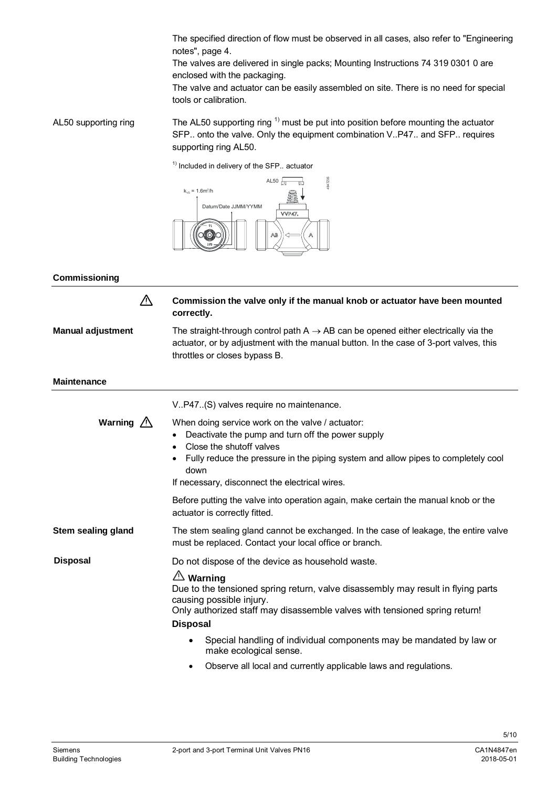The specified direction of flow must be observed in all cases, also refer to "[Engineering](#page-3-1) [notes"](#page-3-1), page [4](#page-3-1).

The valves are delivered in single packs; Mounting Instructions 74 319 0301 0 are enclosed with the packaging.

The valve and actuator can be easily assembled on site. There is no need for special tools or calibration.

The AL50 supporting ring  $<sup>1</sup>$  must be put into position before mounting the actuator</sup> SFP.. onto the valve. Only the equipment combination V..P47.. and SFP.. requires supporting ring AL50. AL50 supporting ring

 $1)$  Included in delivery of the SFP.. actuator



<span id="page-4-0"></span>**Commissioning**

**Manual adjustment**

 $\triangle$ 

**Commission the valve only if the manual knob or actuator have been mounted correctly.**

The straight-through control path  $A \rightarrow AB$  can be opened either electrically via the actuator, or by adjustment with the manual button. In the case of 3-port valves, this throttles or closes bypass B.

| <b>Maintenance</b>      |                                                                                                                                                                                                                                                                                        |  |  |  |  |
|-------------------------|----------------------------------------------------------------------------------------------------------------------------------------------------------------------------------------------------------------------------------------------------------------------------------------|--|--|--|--|
|                         | V. P47. (S) valves require no maintenance.                                                                                                                                                                                                                                             |  |  |  |  |
| Warning $\sqrt{\Delta}$ | When doing service work on the valve / actuator:<br>Deactivate the pump and turn off the power supply<br>Close the shutoff valves<br>Fully reduce the pressure in the piping system and allow pipes to completely cool<br>down<br>If necessary, disconnect the electrical wires.       |  |  |  |  |
|                         | Before putting the valve into operation again, make certain the manual knob or the<br>actuator is correctly fitted.                                                                                                                                                                    |  |  |  |  |
| Stem sealing gland      | The stem sealing gland cannot be exchanged. In the case of leakage, the entire valve<br>must be replaced. Contact your local office or branch.                                                                                                                                         |  |  |  |  |
| <b>Disposal</b>         | Do not dispose of the device as household waste.<br><b>∆∆ Warning</b><br>Due to the tensioned spring return, valve disassembly may result in flying parts<br>causing possible injury.<br>Only authorized staff may disassemble valves with tensioned spring return!<br><b>Disposal</b> |  |  |  |  |
|                         | Special handling of individual components may be mandated by law or<br>٠<br>make ecological sense.                                                                                                                                                                                     |  |  |  |  |

● Observe all local and currently applicable laws and regulations.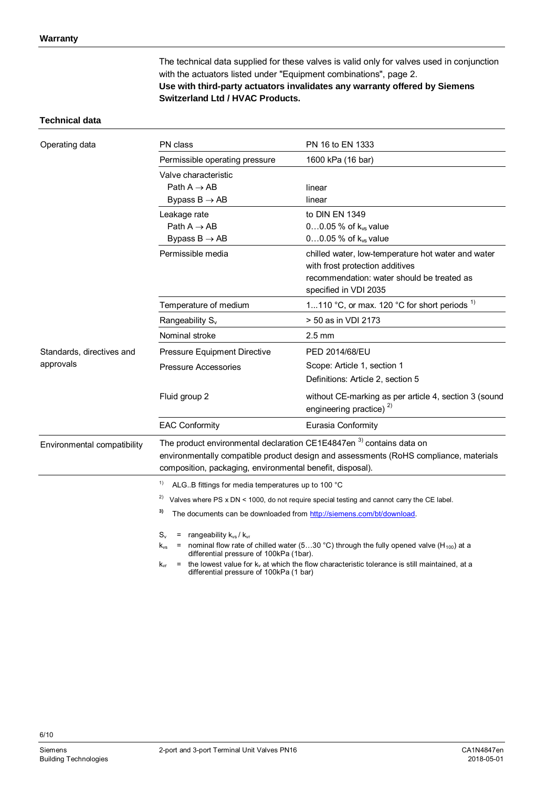The technical data supplied for these valves is valid only for valves used in conjunction with the actuators listed under "[Equipment combinations"](#page-1-0), page [2.](#page-1-0) **Use with third-party actuators invalidates any warranty offered by Siemens Switzerland Ltd / HVAC Products.**

#### **Technical data**

| Operating data              | PN class                                                                                                                                                                                                                                                                                                                     | PN 16 to EN 1333                                                                                                                                             |  |  |  |  |  |  |
|-----------------------------|------------------------------------------------------------------------------------------------------------------------------------------------------------------------------------------------------------------------------------------------------------------------------------------------------------------------------|--------------------------------------------------------------------------------------------------------------------------------------------------------------|--|--|--|--|--|--|
|                             | Permissible operating pressure                                                                                                                                                                                                                                                                                               | 1600 kPa (16 bar)                                                                                                                                            |  |  |  |  |  |  |
|                             | Valve characteristic                                                                                                                                                                                                                                                                                                         |                                                                                                                                                              |  |  |  |  |  |  |
|                             | Path $A \rightarrow AB$                                                                                                                                                                                                                                                                                                      | linear                                                                                                                                                       |  |  |  |  |  |  |
|                             | Bypass $B \rightarrow AB$                                                                                                                                                                                                                                                                                                    | linear                                                                                                                                                       |  |  |  |  |  |  |
|                             | Leakage rate                                                                                                                                                                                                                                                                                                                 | to DIN EN 1349                                                                                                                                               |  |  |  |  |  |  |
|                             | Path $A \rightarrow AB$                                                                                                                                                                                                                                                                                                      | 00.05 % of k <sub>vs</sub> value                                                                                                                             |  |  |  |  |  |  |
|                             | Bypass $B \rightarrow AB$                                                                                                                                                                                                                                                                                                    | $00.05\%$ of $k_{vs}$ value                                                                                                                                  |  |  |  |  |  |  |
|                             | Permissible media                                                                                                                                                                                                                                                                                                            | chilled water, low-temperature hot water and water<br>with frost protection additives<br>recommendation: water should be treated as<br>specified in VDI 2035 |  |  |  |  |  |  |
|                             | Temperature of medium                                                                                                                                                                                                                                                                                                        | 1110 °C, or max. 120 °C for short periods $^{1}$                                                                                                             |  |  |  |  |  |  |
|                             | Rangeability S <sub>v</sub>                                                                                                                                                                                                                                                                                                  | > 50 as in VDI 2173                                                                                                                                          |  |  |  |  |  |  |
|                             | Nominal stroke                                                                                                                                                                                                                                                                                                               | $2.5 \text{ mm}$                                                                                                                                             |  |  |  |  |  |  |
| Standards, directives and   | <b>Pressure Equipment Directive</b>                                                                                                                                                                                                                                                                                          | PED 2014/68/EU                                                                                                                                               |  |  |  |  |  |  |
| approvals                   | <b>Pressure Accessories</b>                                                                                                                                                                                                                                                                                                  | Scope: Article 1, section 1                                                                                                                                  |  |  |  |  |  |  |
|                             |                                                                                                                                                                                                                                                                                                                              | Definitions: Article 2, section 5                                                                                                                            |  |  |  |  |  |  |
|                             | Fluid group 2                                                                                                                                                                                                                                                                                                                | without CE-marking as per article 4, section 3 (sound<br>engineering practice) <sup>2)</sup>                                                                 |  |  |  |  |  |  |
|                             | <b>EAC Conformity</b>                                                                                                                                                                                                                                                                                                        | Eurasia Conformity                                                                                                                                           |  |  |  |  |  |  |
| Environmental compatibility | The product environmental declaration CE1E4847en <sup>3)</sup> contains data on<br>composition, packaging, environmental benefit, disposal).                                                                                                                                                                                 | environmentally compatible product design and assessments (RoHS compliance, materials                                                                        |  |  |  |  |  |  |
|                             | 1)<br>ALGB fittings for media temperatures up to 100 °C                                                                                                                                                                                                                                                                      |                                                                                                                                                              |  |  |  |  |  |  |
|                             | 2)                                                                                                                                                                                                                                                                                                                           | Valves where PS x DN < 1000, do not require special testing and cannot carry the CE label.                                                                   |  |  |  |  |  |  |
|                             | 3)<br>The documents can be downloaded from http://siemens.com/bt/download.                                                                                                                                                                                                                                                   |                                                                                                                                                              |  |  |  |  |  |  |
|                             | $S_v$<br>= rangeability $k_{vs} / k_{vr}$<br>= nominal flow rate of chilled water (530 °C) through the fully opened valve (H <sub>100</sub> ) at a<br>$k_{vs}$<br>differential pressure of 100kPa (1bar).<br>$=$ the lowest value for $k_y$ at which the flow characteristic tolerance is still maintained, at a<br>$K_{vr}$ |                                                                                                                                                              |  |  |  |  |  |  |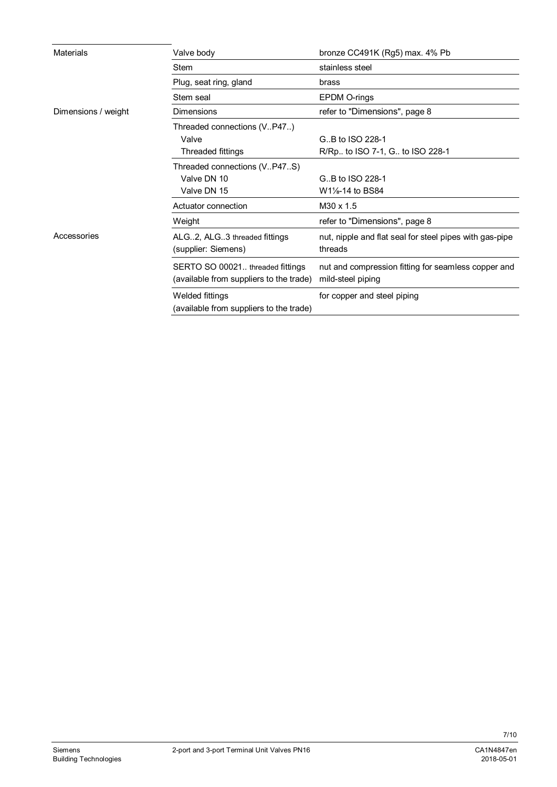| Materials           | Valve body                                                                  | bronze CC491K (Rg5) max. 4% Pb                                           |
|---------------------|-----------------------------------------------------------------------------|--------------------------------------------------------------------------|
|                     | Stem                                                                        | stainless steel                                                          |
|                     | Plug, seat ring, gland                                                      | brass                                                                    |
|                     | Stem seal                                                                   | <b>EPDM O-rings</b>                                                      |
| Dimensions / weight | <b>Dimensions</b>                                                           | refer to "Dimensions", page 8                                            |
|                     | Threaded connections (VP47)                                                 |                                                                          |
|                     | Valve                                                                       | G., B to ISO 228-1                                                       |
|                     | Threaded fittings                                                           | R/Rp to ISO 7-1, G to ISO 228-1                                          |
|                     | Threaded connections (VP47S)                                                |                                                                          |
|                     | Valve DN 10                                                                 | G., B to ISO 228-1                                                       |
|                     | Valve DN 15                                                                 | W1 <sup>1</sup> / <sub>8</sub> -14 to BS84                               |
|                     | Actuator connection                                                         | M30 x 1.5                                                                |
|                     | Weight                                                                      | refer to "Dimensions", page 8                                            |
| Accessories         | ALG2, ALG3 threaded fittings<br>(supplier: Siemens)                         | nut, nipple and flat seal for steel pipes with gas-pipe<br>threads       |
|                     | SERTO SO 00021 threaded fittings<br>(available from suppliers to the trade) | nut and compression fitting for seamless copper and<br>mild-steel piping |
|                     | <b>Welded fittings</b><br>(available from suppliers to the trade)           | for copper and steel piping                                              |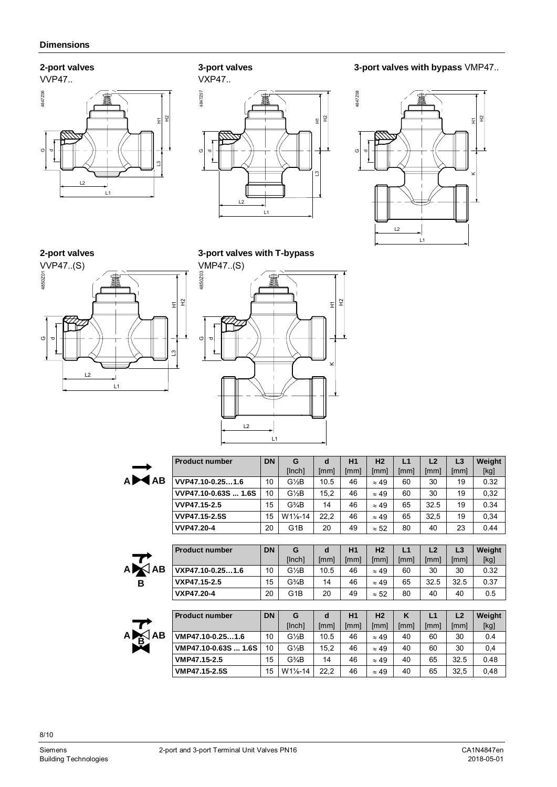### <span id="page-7-0"></span>**2-port valves**



**3-port valves**









**3-port valves with T-bypass**



|               | <b>Product number</b> | <b>DN</b> | G                               | d    | H1   | H <sub>2</sub> | L1   | L2   | L3   | Weight |  |
|---------------|-----------------------|-----------|---------------------------------|------|------|----------------|------|------|------|--------|--|
|               |                       |           | [Inch]                          | [mm] | [mm] | [mm]           | [mm] | [mm] | [mm] | [kg]   |  |
| <b>AB</b>     | VVP47.10-0.251.6      | 10        | $G\frac{1}{2}B$                 | 10.5 | 46   | $\approx 49$   | 60   | 30   | 19   | 0.32   |  |
|               | VVP47.10-0.63S  1.6S  | 10        | $G\frac{1}{2}B$                 | 15,2 | 46   | $\approx 49$   | 60   | 30   | 19   | 0,32   |  |
|               | VVP47.15-2.5          | 15        | $G3$ AB                         | 14   | 46   | $\approx 49$   | 65   | 32.5 | 19   | 0.34   |  |
|               | <b>VVP47.15-2.5S</b>  | 15        | W11⁄8-14                        | 22,2 | 46   | $\approx 49$   | 65   | 32,5 | 19   | 0,34   |  |
|               | <b>VVP47.20-4</b>     | 20        | G <sub>1</sub> B                | 20   | 49   | $\approx 52$   | 80   | 40   | 23   | 0.44   |  |
|               |                       |           |                                 |      |      |                |      |      |      |        |  |
|               | <b>Product number</b> | <b>DN</b> | G                               | d    | H1   | H <sub>2</sub> | L1   | L2   | L3   | Weight |  |
|               |                       |           | [Inch]                          | [mm] | [mm] | [mm]           | [mm] | [mm] | [mm] | [kg]   |  |
| A <b>X</b> AB | VXP47.10-0.251.6      | 10        | $G\frac{1}{2}B$                 | 10.5 | 46   | $\approx 49$   | 60   | 30   | 30   | 0.32   |  |
|               | VXP47.15-2.5          | 15        | G <sup>3</sup> / <sub>4</sub> B | 14   | 46   | $\approx 49$   | 65   | 32.5 | 32.5 | 0.37   |  |
|               | VXP47.20-4            | 20        | G <sub>1</sub> B                | 20   | 49   | $\approx 52$   | 80   | 40   | 40   | 0.5    |  |
|               |                       |           |                                 |      |      |                |      |      |      |        |  |
|               | <b>Product number</b> | <b>DN</b> | G                               | d    | H1   | H <sub>2</sub> | K    | L1   | L2   | Weight |  |
| $A \times B$  |                       |           | [Inch]                          | [mm] | [mm] | [mm]           | [mm] | [mm] | [mm] | [kg]   |  |
|               | VMP47.10-0.251.6      | 10        | $G\frac{1}{2}B$                 | 10.5 | 46   | $\approx 49$   | 40   | 60   | 30   | 0.4    |  |
|               | VMP47.10-0.63S  1.6S  | 10        | $G\frac{1}{2}B$                 | 15,2 | 46   | $\approx 49$   | 40   | 60   | 30   | 0,4    |  |
|               | VMP47.15-2.5          | 15        | $G3$ AB                         | 14   | 46   | $\approx 49$   | 40   | 65   | 32.5 | 0.48   |  |
|               | VMP47.15-2.5S         | 15        | W11/ <sub>8</sub> -14           | 22,2 | 46   | $\approx 49$   | 40   | 65   | 32,5 | 0,48   |  |

8/10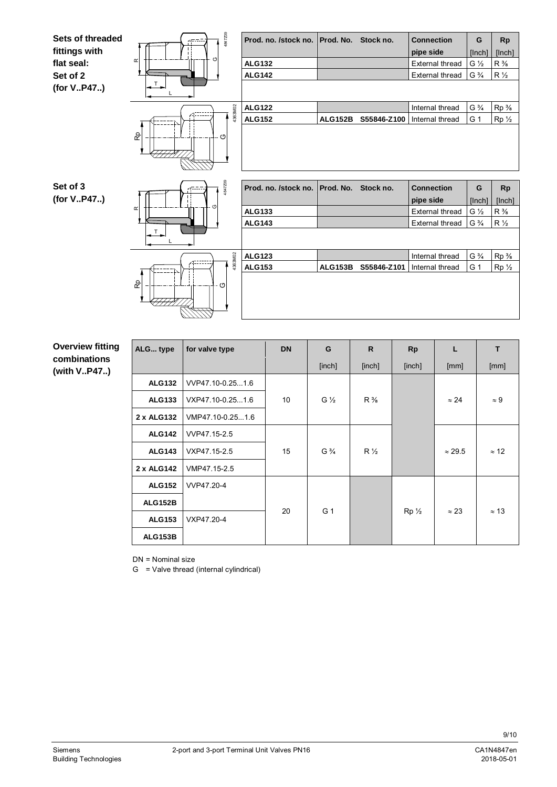

#### **Overview fitting combinations (with V..P47..)**

| ALG type       | for valve type   | <b>DN</b> | G              | R              | <b>Rp</b> | L              | T            |
|----------------|------------------|-----------|----------------|----------------|-----------|----------------|--------------|
|                |                  |           | [inch]         | [inch]         | [inch]    | [mm]           | [mm]         |
| <b>ALG132</b>  | VVP47.10-0.251.6 |           |                |                |           |                |              |
| <b>ALG133</b>  | VXP47.10-0.251.6 | 10        | $G\frac{1}{2}$ | $R\frac{3}{8}$ |           | $\approx 24$   | $\approx 9$  |
| 2 x ALG132     | VMP47.10-0.251.6 |           |                |                |           |                |              |
| <b>ALG142</b>  | VVP47.15-2.5     |           |                |                |           |                |              |
| <b>ALG143</b>  | VXP47.15-2.5     | 15        | $G\frac{3}{4}$ | $R\frac{1}{2}$ |           | $\approx$ 29.5 | $\approx$ 12 |
| 2 x ALG142     | VMP47.15-2.5     |           |                |                |           |                |              |
| <b>ALG152</b>  | VVP47.20-4       |           |                |                |           |                |              |
| <b>ALG152B</b> |                  |           |                |                |           |                |              |
| <b>ALG153</b>  | VXP47.20-4       | 20        | G 1            |                | $Rp_{2}$  | $\approx 23$   | $\approx$ 13 |
| <b>ALG153B</b> |                  |           |                |                |           |                |              |

DN = Nominal size

G = Valve thread (internal cylindrical)